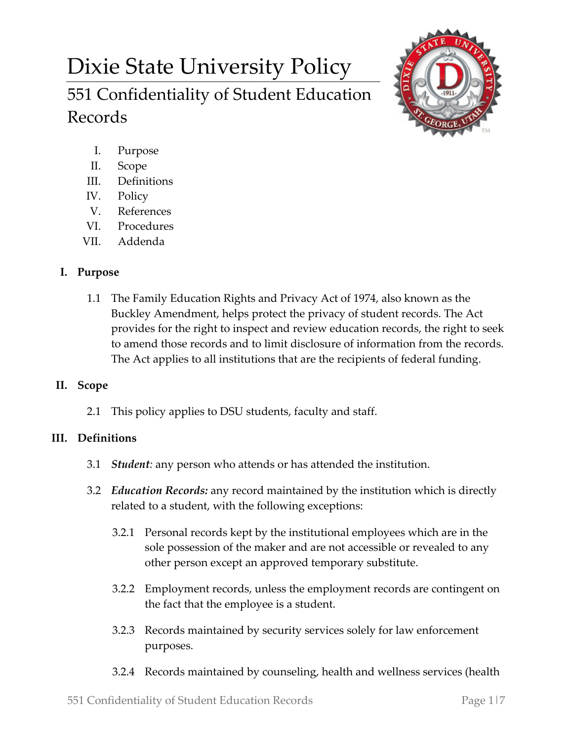# Dixie State University Policy 551 Confidentiality of Student Education Records



- I. Purpose
- II. Scope
- III. Definitions
- IV. Policy
- V. References
- VI. Procedures
- VII. Addenda

## **I. Purpose**

1.1 The Family Education Rights and Privacy Act of 1974, also known as the Buckley Amendment, helps protect the privacy of student records. The Act provides for the right to inspect and review education records, the right to seek to amend those records and to limit disclosure of information from the records. The Act applies to all institutions that are the recipients of federal funding.

## **II. Scope**

2.1 This policy applies to DSU students, faculty and staff.

# **III. Definitions**

- 3.1 *Student:* any person who attends or has attended the institution.
- 3.2 *Education Records:* any record maintained by the institution which is directly related to a student, with the following exceptions:
	- 3.2.1 Personal records kept by the institutional employees which are in the sole possession of the maker and are not accessible or revealed to any other person except an approved temporary substitute.
	- 3.2.2 Employment records, unless the employment records are contingent on the fact that the employee is a student.
	- 3.2.3 Records maintained by security services solely for law enforcement purposes.
	- 3.2.4 Records maintained by counseling, health and wellness services (health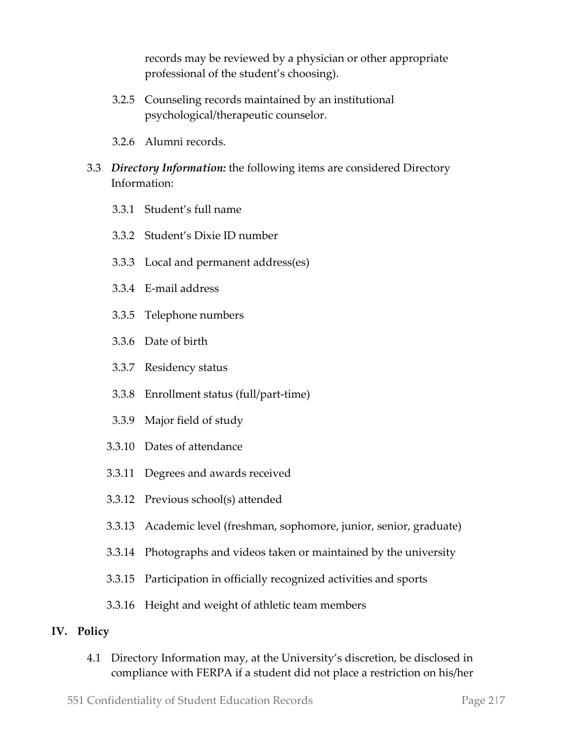records may be reviewed by a physician or other appropriate professional of the student's choosing).

- 3.2.5 Counseling records maintained by an institutional psychological/therapeutic counselor.
- 3.2.6 Alumni records.
- 3.3 *Directory Information:* the following items are considered Directory Information:
	- 3.3.1 Student's full name
	- 3.3.2 Student's Dixie ID number
	- 3.3.3 Local and permanent address(es)
	- 3.3.4 E-mail address
	- 3.3.5 Telephone numbers
	- 3.3.6 Date of birth
	- 3.3.7 Residency status
	- 3.3.8 Enrollment status (full/part-time)
	- 3.3.9 Major field of study
	- 3.3.10 Dates of attendance
	- 3.3.11 Degrees and awards received
	- 3.3.12 Previous school(s) attended
	- 3.3.13 Academic level (freshman, sophomore, junior, senior, graduate)
	- 3.3.14 Photographs and videos taken or maintained by the university
	- 3.3.15 Participation in officially recognized activities and sports
	- 3.3.16 Height and weight of athletic team members

#### **IV. Policy**

4.1 Directory Information may, at the University's discretion, be disclosed in compliance with FERPA if a student did not place a restriction on his/her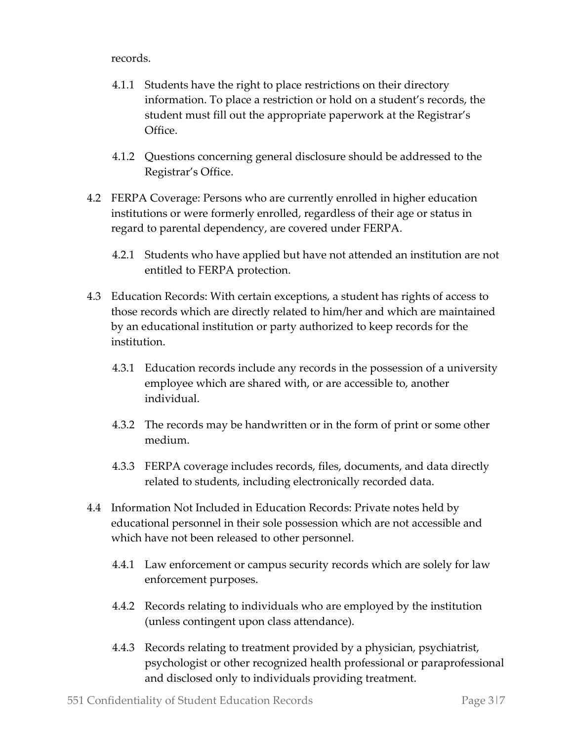records.

- 4.1.1 Students have the right to place restrictions on their directory information. To place a restriction or hold on a student's records, the student must fill out the appropriate paperwork at the Registrar's Office.
- 4.1.2 Questions concerning general disclosure should be addressed to the Registrar's Office.
- 4.2 FERPA Coverage: Persons who are currently enrolled in higher education institutions or were formerly enrolled, regardless of their age or status in regard to parental dependency, are covered under FERPA.
	- 4.2.1 Students who have applied but have not attended an institution are not entitled to FERPA protection.
- 4.3 Education Records: With certain exceptions, a student has rights of access to those records which are directly related to him/her and which are maintained by an educational institution or party authorized to keep records for the institution.
	- 4.3.1 Education records include any records in the possession of a university employee which are shared with, or are accessible to, another individual.
	- 4.3.2 The records may be handwritten or in the form of print or some other medium.
	- 4.3.3 FERPA coverage includes records, files, documents, and data directly related to students, including electronically recorded data.
- 4.4 Information Not Included in Education Records: Private notes held by educational personnel in their sole possession which are not accessible and which have not been released to other personnel.
	- 4.4.1 Law enforcement or campus security records which are solely for law enforcement purposes.
	- 4.4.2 Records relating to individuals who are employed by the institution (unless contingent upon class attendance).
	- 4.4.3 Records relating to treatment provided by a physician, psychiatrist, psychologist or other recognized health professional or paraprofessional and disclosed only to individuals providing treatment.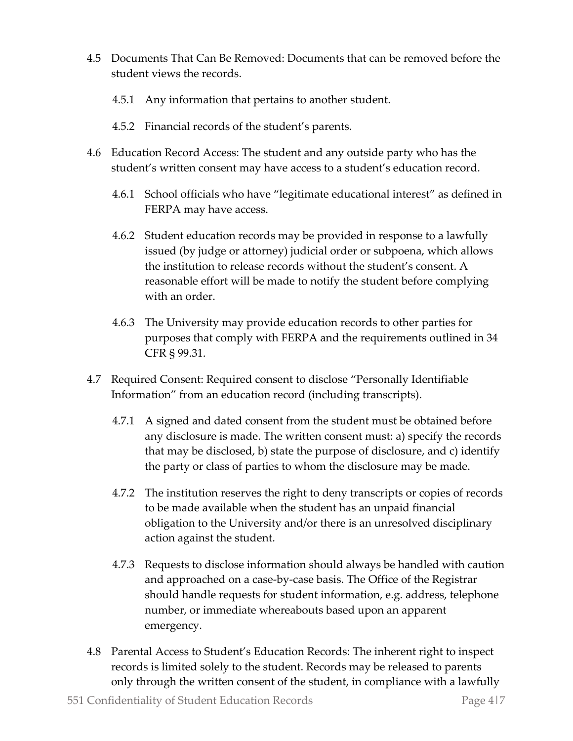- 4.5 Documents That Can Be Removed: Documents that can be removed before the student views the records.
	- 4.5.1 Any information that pertains to another student.
	- 4.5.2 Financial records of the student's parents.
- 4.6 Education Record Access: The student and any outside party who has the student's written consent may have access to a student's education record.
	- 4.6.1 School officials who have "legitimate educational interest" as defined in FERPA may have access.
	- 4.6.2 Student education records may be provided in response to a lawfully issued (by judge or attorney) judicial order or subpoena, which allows the institution to release records without the student's consent. A reasonable effort will be made to notify the student before complying with an order.
	- 4.6.3 The University may provide education records to other parties for purposes that comply with FERPA and the requirements outlined in 34 CFR § 99.31.
- 4.7 Required Consent: Required consent to disclose "Personally Identifiable Information" from an education record (including transcripts).
	- 4.7.1 A signed and dated consent from the student must be obtained before any disclosure is made. The written consent must: a) specify the records that may be disclosed, b) state the purpose of disclosure, and c) identify the party or class of parties to whom the disclosure may be made.
	- 4.7.2 The institution reserves the right to deny transcripts or copies of records to be made available when the student has an unpaid financial obligation to the University and/or there is an unresolved disciplinary action against the student.
	- 4.7.3 Requests to disclose information should always be handled with caution and approached on a case-by-case basis. The Office of the Registrar should handle requests for student information, e.g. address, telephone number, or immediate whereabouts based upon an apparent emergency.
- 4.8 Parental Access to Student's Education Records: The inherent right to inspect records is limited solely to the student. Records may be released to parents only through the written consent of the student, in compliance with a lawfully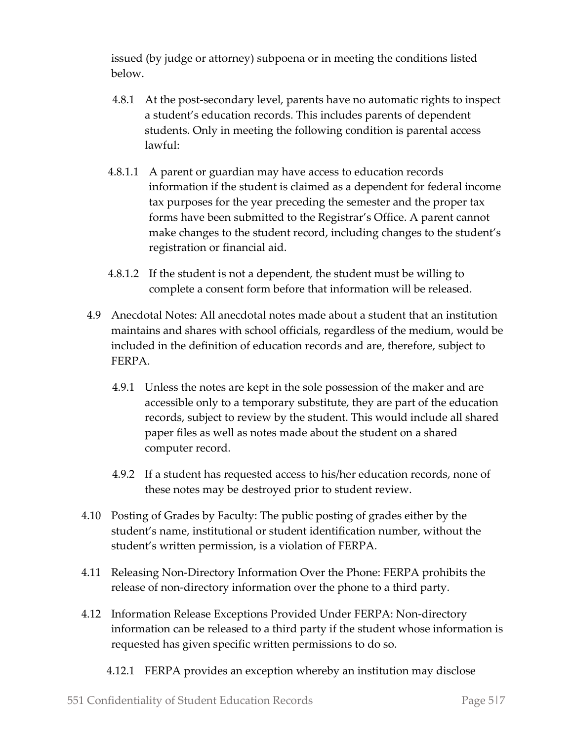issued (by judge or attorney) subpoena or in meeting the conditions listed below.

- 4.8.1 At the post-secondary level, parents have no automatic rights to inspect a student's education records. This includes parents of dependent students. Only in meeting the following condition is parental access lawful:
- 4.8.1.1 A parent or guardian may have access to education records information if the student is claimed as a dependent for federal income tax purposes for the year preceding the semester and the proper tax forms have been submitted to the Registrar's Office. A parent cannot make changes to the student record, including changes to the student's registration or financial aid.
- 4.8.1.2 If the student is not a dependent, the student must be willing to complete a consent form before that information will be released.
- 4.9 Anecdotal Notes: All anecdotal notes made about a student that an institution maintains and shares with school officials, regardless of the medium, would be included in the definition of education records and are, therefore, subject to FERPA.
	- 4.9.1 Unless the notes are kept in the sole possession of the maker and are accessible only to a temporary substitute, they are part of the education records, subject to review by the student. This would include all shared paper files as well as notes made about the student on a shared computer record.
	- 4.9.2 If a student has requested access to his/her education records, none of these notes may be destroyed prior to student review.
- 4.10 Posting of Grades by Faculty: The public posting of grades either by the student's name, institutional or student identification number, without the student's written permission, is a violation of FERPA.
- 4.11 Releasing Non-Directory Information Over the Phone: FERPA prohibits the release of non-directory information over the phone to a third party.
- 4.12 Information Release Exceptions Provided Under FERPA: Non-directory information can be released to a third party if the student whose information is requested has given specific written permissions to do so.
	- 4.12.1 FERPA provides an exception whereby an institution may disclose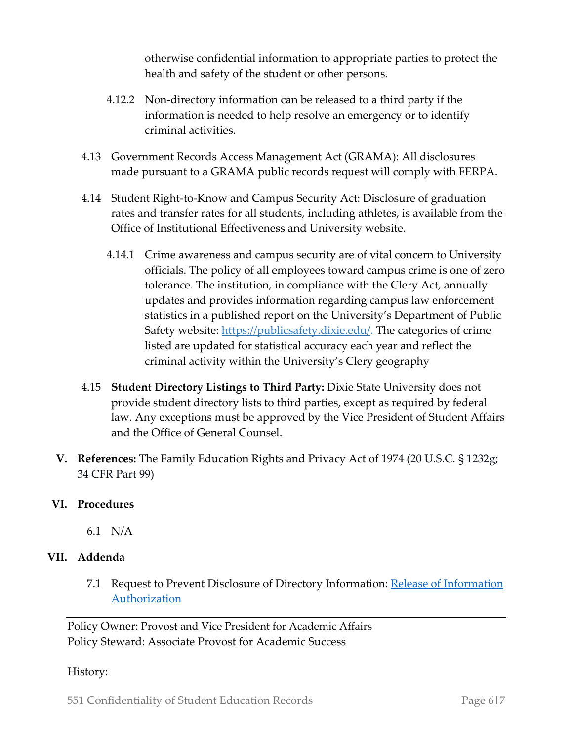otherwise confidential information to appropriate parties to protect the health and safety of the student or other persons.

- 4.12.2 Non-directory information can be released to a third party if the information is needed to help resolve an emergency or to identify criminal activities.
- 4.13 Government Records Access Management Act (GRAMA): All disclosures made pursuant to a GRAMA public records request will comply with FERPA.
- 4.14 Student Right-to-Know and Campus Security Act: Disclosure of graduation rates and transfer rates for all students, including athletes, is available from the Office of Institutional Effectiveness and University website.
	- 4.14.1 Crime awareness and campus security are of vital concern to University officials. The policy of all employees toward campus crime is one of zero tolerance. The institution, in compliance with the Clery Act, annually updates and provides information regarding campus law enforcement statistics in a published report on the University's Department of Public Safety website: https://publicsafety.dixie.edu/. The categories of crime listed are updated for statistical accuracy each year and reflect the criminal activity within the University's Clery geography
- 4.15 **Student Directory Listings to Third Party:** Dixie State University does not provide student directory lists to third parties, except as required by federal law. Any exceptions must be approved by the Vice President of Student Affairs and the Office of General Counsel.
- **V. References:** The Family Education Rights and Privacy Act of 1974 (20 U.S.C. § 1232g; 34 CFR Part 99)

## **VI. Procedures**

6.1 N/A

## **VII. Addenda**

7.1 Request to Prevent Disclosure of Directory Information: Release of Information Authorization

Policy Owner: Provost and Vice President for Academic Affairs Policy Steward: Associate Provost for Academic Success

History:

551 Confidentiality of Student Education Records Page 6|7